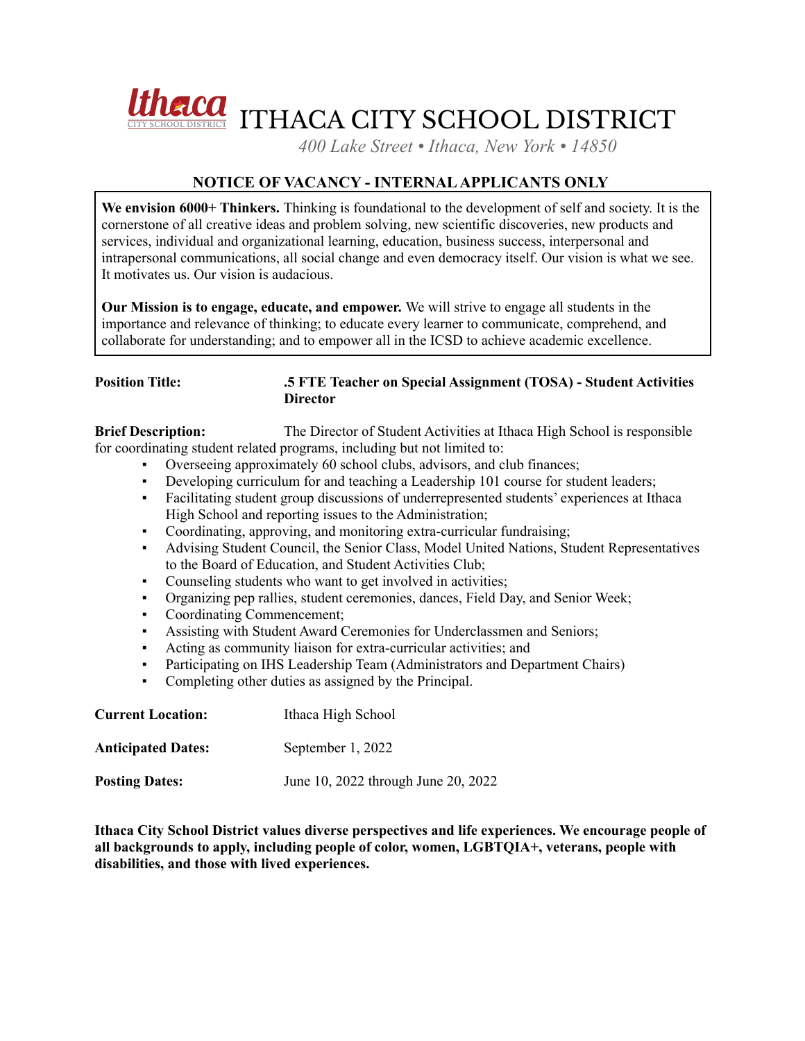

*400 Lake Street • Ithaca, New York • 14850*

# **NOTICE OF VACANCY - INTERNALAPPLICANTS ONLY**

**We envision 6000+ Thinkers.** Thinking is foundational to the development of self and society. It is the cornerstone of all creative ideas and problem solving, new scientific discoveries, new products and services, individual and organizational learning, education, business success, interpersonal and intrapersonal communications, all social change and even democracy itself. Our vision is what we see. It motivates us. Our vision is audacious.

**Our Mission is to engage, educate, and empower.** We will strive to engage all students in the importance and relevance of thinking; to educate every learner to communicate, comprehend, and collaborate for understanding; and to empower all in the ICSD to achieve academic excellence.

#### **Position Title: .5 FTE Teacher on Special Assignment (TOSA) - Student Activities Director**

**Brief Description:** The Director of Student Activities at Ithaca High School is responsible for coordinating student related programs, including but not limited to:

- Overseeing approximately 60 school clubs, advisors, and club finances;
- Developing curriculum for and teaching a Leadership 101 course for student leaders;
- Facilitating student group discussions of underrepresented students' experiences at Ithaca High School and reporting issues to the Administration;
- Coordinating, approving, and monitoring extra-curricular fundraising;
- Advising Student Council, the Senior Class, Model United Nations, Student Representatives to the Board of Education, and Student Activities Club;
- Counseling students who want to get involved in activities;
- Organizing pep rallies, student ceremonies, dances, Field Day, and Senior Week;
- Coordinating Commencement;
- Assisting with Student Award Ceremonies for Underclassmen and Seniors;
- Acting as community liaison for extra-curricular activities; and
- Participating on IHS Leadership Team (Administrators and Department Chairs)
- Completing other duties as assigned by the Principal.

| <b>Current Location:</b>  | Ithaca High School                  |
|---------------------------|-------------------------------------|
| <b>Anticipated Dates:</b> | September 1, 2022                   |
| <b>Posting Dates:</b>     | June 10, 2022 through June 20, 2022 |

**Ithaca City School District values diverse perspectives and life experiences. We encourage people of all backgrounds to apply, including people of color, women, LGBTQIA+, veterans, people with disabilities, and those with lived experiences.**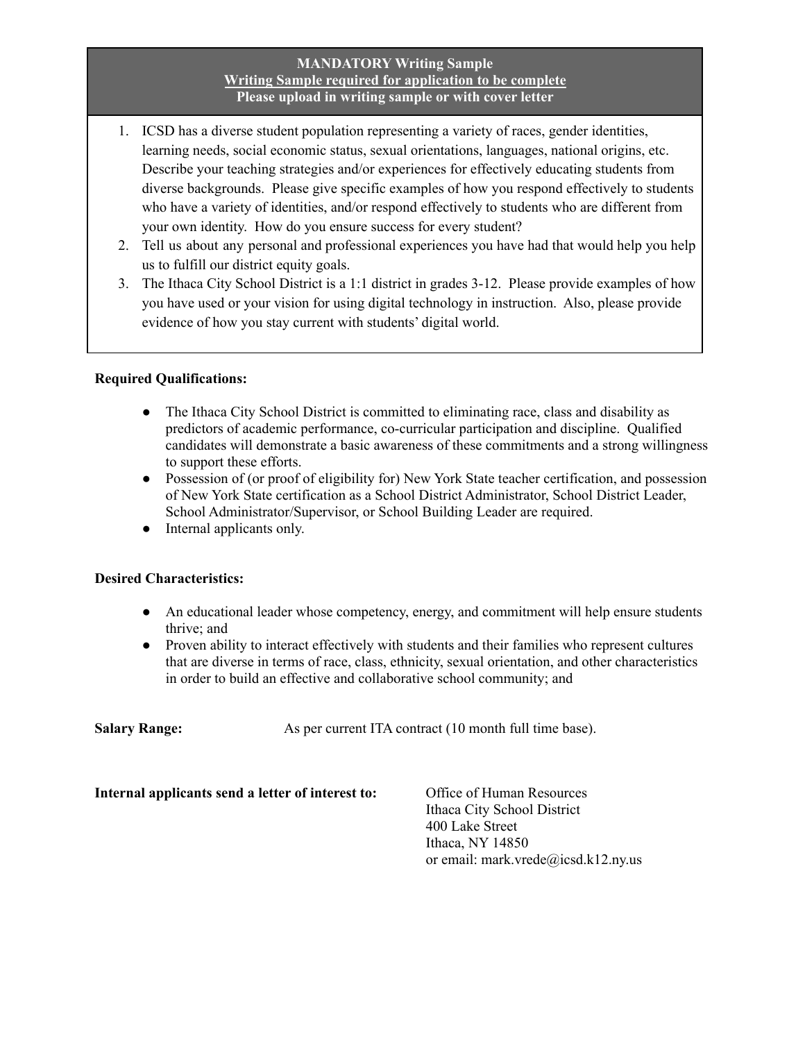### **MANDATORY Writing Sample Writing Sample required for application to be complete Please upload in writing sample or with cover letter**

- 1. ICSD has a diverse student population representing a variety of races, gender identities, learning needs, social economic status, sexual orientations, languages, national origins, etc. Describe your teaching strategies and/or experiences for effectively educating students from diverse backgrounds. Please give specific examples of how you respond effectively to students who have a variety of identities, and/or respond effectively to students who are different from your own identity. How do you ensure success for every student?
- 2. Tell us about any personal and professional experiences you have had that would help you help us to fulfill our district equity goals.
- 3. The Ithaca City School District is a 1:1 district in grades 3-12. Please provide examples of how you have used or your vision for using digital technology in instruction. Also, please provide evidence of how you stay current with students' digital world.

## **Required Qualifications:**

- The Ithaca City School District is committed to eliminating race, class and disability as predictors of academic performance, co-curricular participation and discipline. Qualified candidates will demonstrate a basic awareness of these commitments and a strong willingness to support these efforts.
- Possession of (or proof of eligibility for) New York State teacher certification, and possession of New York State certification as a School District Administrator, School District Leader, School Administrator/Supervisor, or School Building Leader are required.
- Internal applicants only.

### **Desired Characteristics:**

- An educational leader whose competency, energy, and commitment will help ensure students thrive; and
- Proven ability to interact effectively with students and their families who represent cultures that are diverse in terms of race, class, ethnicity, sexual orientation, and other characteristics in order to build an effective and collaborative school community; and

**Salary Range:** As per current ITA contract (10 month full time base).

**Internal applicants send a letter of interest to:** Office of Human Resources

Ithaca City School District 400 Lake Street Ithaca, NY 14850 or email: mark.vrede@icsd.k12.ny.us